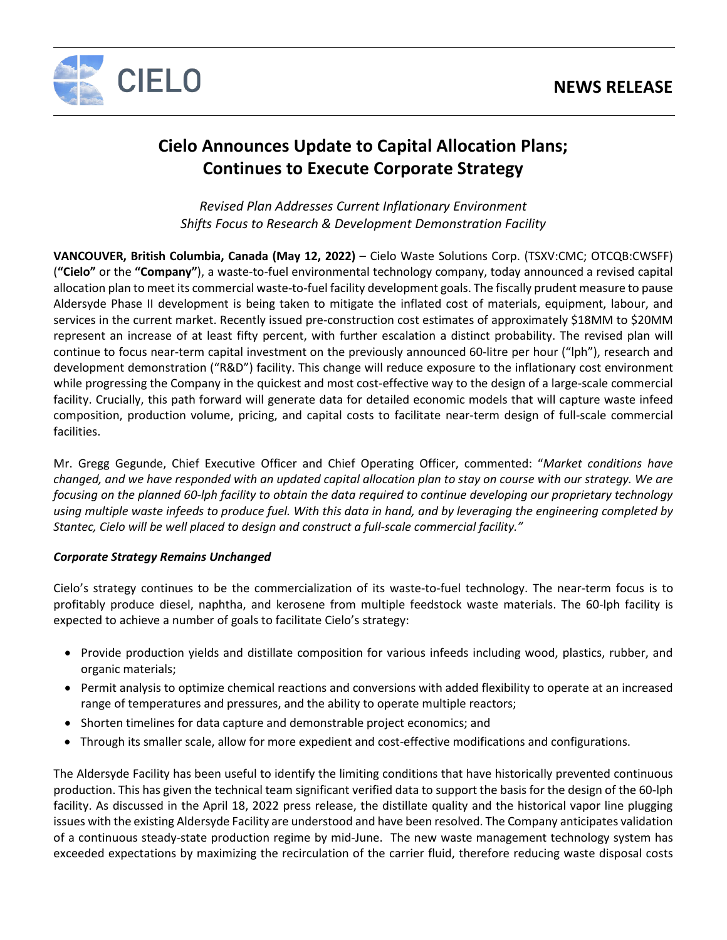

# **Cielo Announces Update to Capital Allocation Plans; Continues to Execute Corporate Strategy**

*Revised Plan Addresses Current Inflationary Environment Shifts Focus to Research & Development Demonstration Facility* 

**VANCOUVER, British Columbia, Canada (May 12, 2022)** – Cielo Waste Solutions Corp. (TSXV:CMC; OTCQB:CWSFF) (**"Cielo"** or the **"Company"**), a waste-to-fuel environmental technology company, today announced a revised capital allocation plan to meet its commercial waste-to-fuel facility development goals. The fiscally prudent measure to pause Aldersyde Phase II development is being taken to mitigate the inflated cost of materials, equipment, labour, and services in the current market. Recently issued pre-construction cost estimates of approximately \$18MM to \$20MM represent an increase of at least fifty percent, with further escalation a distinct probability. The revised plan will continue to focus near-term capital investment on the previously announced 60-litre per hour ("lph"), research and development demonstration ("R&D") facility. This change will reduce exposure to the inflationary cost environment while progressing the Company in the quickest and most cost-effective way to the design of a large-scale commercial facility. Crucially, this path forward will generate data for detailed economic models that will capture waste infeed composition, production volume, pricing, and capital costs to facilitate near-term design of full-scale commercial facilities.

Mr. Gregg Gegunde, Chief Executive Officer and Chief Operating Officer, commented: "*Market conditions have changed, and we have responded with an updated capital allocation plan to stay on course with our strategy. We are focusing on the planned 60-lph facility to obtain the data required to continue developing our proprietary technology using multiple waste infeeds to produce fuel. With this data in hand, and by leveraging the engineering completed by Stantec, Cielo will be well placed to design and construct a full-scale commercial facility."* 

# *Corporate Strategy Remains Unchanged*

Cielo's strategy continues to be the commercialization of its waste-to-fuel technology. The near-term focus is to profitably produce diesel, naphtha, and kerosene from multiple feedstock waste materials. The 60-lph facility is expected to achieve a number of goals to facilitate Cielo's strategy:

- Provide production yields and distillate composition for various infeeds including wood, plastics, rubber, and organic materials;
- Permit analysis to optimize chemical reactions and conversions with added flexibility to operate at an increased range of temperatures and pressures, and the ability to operate multiple reactors;
- Shorten timelines for data capture and demonstrable project economics; and
- Through its smaller scale, allow for more expedient and cost-effective modifications and configurations.

The Aldersyde Facility has been useful to identify the limiting conditions that have historically prevented continuous production. This has given the technical team significant verified data to support the basis for the design of the 60-lph facility. As discussed in the April 18, 2022 press release, the distillate quality and the historical vapor line plugging issues with the existing Aldersyde Facility are understood and have been resolved. The Company anticipates validation of a continuous steady-state production regime by mid-June. The new waste management technology system has exceeded expectations by maximizing the recirculation of the carrier fluid, therefore reducing waste disposal costs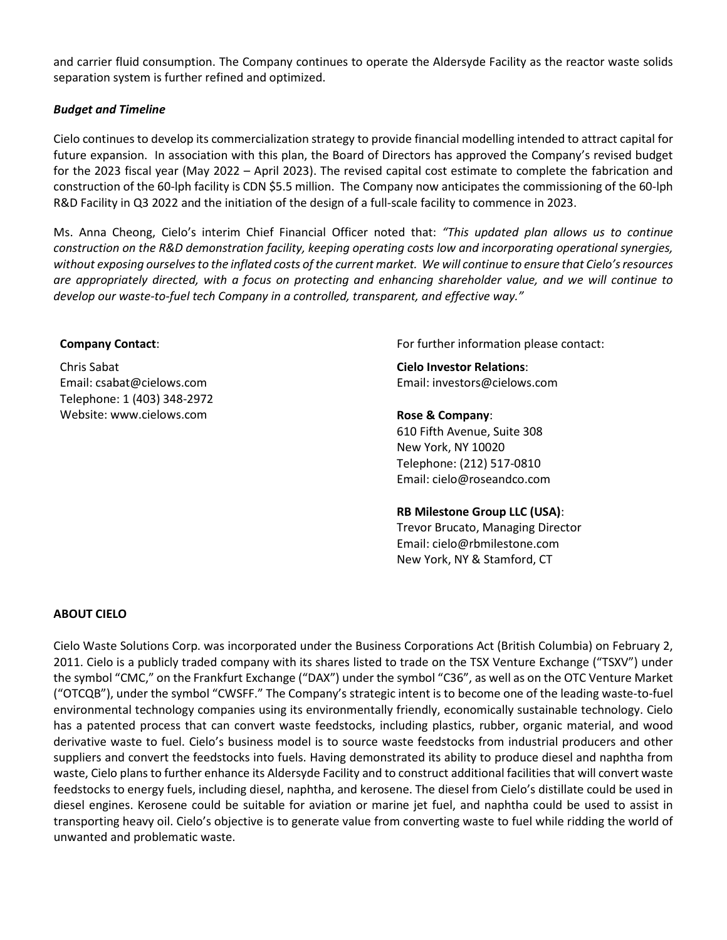and carrier fluid consumption. The Company continues to operate the Aldersyde Facility as the reactor waste solids separation system is further refined and optimized.

## *Budget and Timeline*

Cielo continues to develop its commercialization strategy to provide financial modelling intended to attract capital for future expansion. In association with this plan, the Board of Directors has approved the Company's revised budget for the 2023 fiscal year (May 2022 – April 2023). The revised capital cost estimate to complete the fabrication and construction of the 60-lph facility is CDN \$5.5 million. The Company now anticipates the commissioning of the 60-lph R&D Facility in Q3 2022 and the initiation of the design of a full-scale facility to commence in 2023.

Ms. Anna Cheong, Cielo's interim Chief Financial Officer noted that: *"This updated plan allows us to continue construction on the R&D demonstration facility, keeping operating costs low and incorporating operational synergies, without exposing ourselvesto the inflated costs of the current market. We will continue to ensure that Cielo's resources are appropriately directed, with a focus on protecting and enhancing shareholder value, and we will continue to develop our waste-to-fuel tech Company in a controlled, transparent, and effective way."*

#### **Company Contact**:

Chris Sabat Email: csabat@cielows.com Telephone: 1 (403) 348-2972 Website: www.cielows.com

For further information please contact:

**Cielo Investor Relations**: Email: investors@cielows.com

#### **Rose & Company**:

610 Fifth Avenue, Suite 308 New York, NY 10020 Telephone: (212) 517-0810 Email: [cielo@roseandco.com](mailto:cielo@roseandco.com)

#### **RB Milestone Group LLC (USA)**:

Trevor Brucato, Managing Director Email: [cielo@rbmilestone.com](mailto:cielo@rbmilestone.com) New York, NY & Stamford, CT

## **ABOUT CIELO**

Cielo Waste Solutions Corp. was incorporated under the Business Corporations Act (British Columbia) on February 2, 2011. Cielo is a publicly traded company with its shares listed to trade on the TSX Venture Exchange ("TSXV") under the symbol "CMC," on the Frankfurt Exchange ("DAX") under the symbol "C36", as well as on the OTC Venture Market ("OTCQB"), under the symbol "CWSFF." The Company's strategic intent is to become one of the leading waste-to-fuel environmental technology companies using its environmentally friendly, economically sustainable technology. Cielo has a patented process that can convert waste feedstocks, including plastics, rubber, organic material, and wood derivative waste to fuel. Cielo's business model is to source waste feedstocks from industrial producers and other suppliers and convert the feedstocks into fuels. Having demonstrated its ability to produce diesel and naphtha from waste, Cielo plans to further enhance its Aldersyde Facility and to construct additional facilities that will convert waste feedstocks to energy fuels, including diesel, naphtha, and kerosene. The diesel from Cielo's distillate could be used in diesel engines. Kerosene could be suitable for aviation or marine jet fuel, and naphtha could be used to assist in transporting heavy oil. Cielo's objective is to generate value from converting waste to fuel while ridding the world of unwanted and problematic waste.